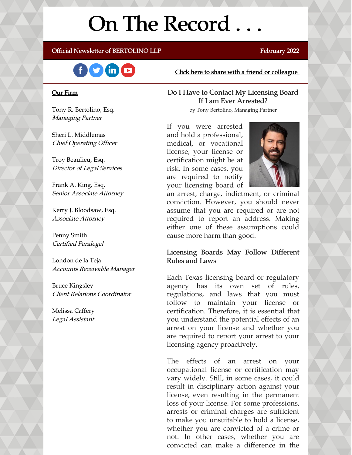# On The Record . . .

#### Official Newsletter of BERTOLINO LLP February 2022



#### Our Firm

Tony R. Bertolino, Esq. Managing Partner

Sheri L. Middlemas Chief Operating Officer

Troy Beaulieu, Esq. Director of Legal Services

Frank A. King, Esq. Senior Associate Attorney

Kerry J. Bloodsaw, Esq. Associate Attorney

Penny Smith Certified Paralegal

London de la Teja Accounts Receivable Manager

Bruce Kingsley Client Relations Coordinator

Melissa Caffery Legal Assistant Click here to share with a friend or [colleague](https://visitor.r20.constantcontact.com/manage/optin?v=001xvcZBIZGArRYZxP_ENhTFsnPqgcrAHF_8FAGh0C6OoU_TYzgqPeo9kiI5F5Vb-xdZP7jClYZWX2ttQp6Q7JygJ1sq0DH9MDHJwjzNoREDc4=)

#### Do I Have to Contact My Licensing Board If I am Ever Arrested?

by Tony Bertolino, Managing Partner

If you were arrested and hold a professional, medical, or vocational license, your license or certification might be at risk. In some cases, you are required to notify your licensing board of



an arrest, charge, indictment, or criminal conviction. However, you should never assume that you are required or are not required to report an address. Making either one of these assumptions could cause more harm than good.

#### Licensing Boards May Follow Different Rules and Laws

Each Texas licensing board or regulatory agency has its own set of rules, regulations, and laws that you must follow to maintain your license or certification. Therefore, it is essential that you understand the potential effects of an arrest on your license and whether you are required to report your arrest to your licensing agency proactively.

The effects of an arrest on your occupational license or certification may vary widely. Still, in some cases, it could result in disciplinary action against your license, even resulting in the permanent loss of your license. For some professions, arrests or criminal charges are sufficient to make you unsuitable to hold a license, whether you are convicted of a crime or not. In other cases, whether you are convicted can make a difference in the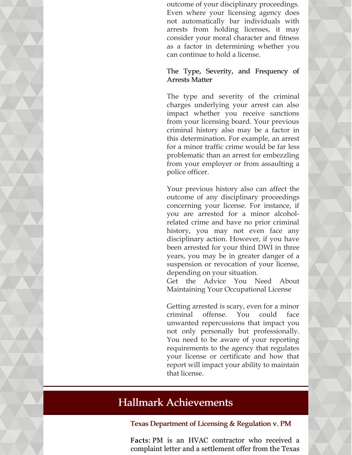outcome of your disciplinary proceedings. Even where your licensing agency does not automatically bar individuals with arrests from holding licenses, it may consider your moral character and fitness as a factor in determining whether you can continue to hold a license.

#### The Type, Severity, and Frequency of Arrests Matter

The type and severity of the criminal charges underlying your arrest can also impact whether you receive sanctions from your licensing board. Your previous criminal history also may be a factor in this determination. For example, an arrest for a minor traffic crime would be far less problematic than an arrest for embezzling from your employer or from assaulting a police officer.

Your previous history also can affect the outcome of any disciplinary proceedings concerning your license. For instance, if you are arrested for a minor alcoholrelated crime and have no prior criminal history, you may not even face any disciplinary action. However, if you have been arrested for your third DWI in three years, you may be in greater danger of a suspension or revocation of your license, depending on your situation.

Get the Advice You Need About Maintaining Your Occupational License

Getting arrested is scary, even for a minor criminal offense. You could face unwanted repercussions that impact you not only personally but professionally. You need to be aware of your reporting requirements to the agency that regulates your license or certificate and how that report will impact your ability to maintain that license.

## Hallmark Achievements

#### Texas Department of Licensing & Regulation v. PM

Facts: PM is an HVAC contractor who received a complaint letter and a settlement offer from the Texas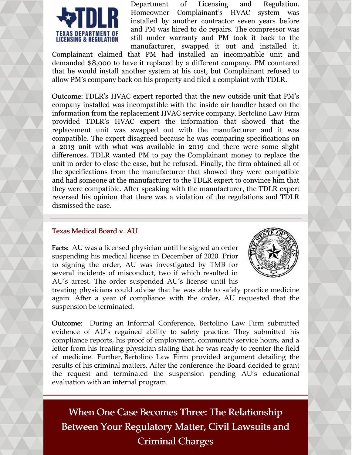

Department of Licensing and Regulation. Homeowner Complainant's HVAC system was installed by another contractor seven years before and PM was hired to do repairs. The compressor was still under warranty and PM took it back to the manufacturer, swapped it out and installed it.

Complainant claimed that PM had installed an incompatible unit and demanded \$8,000 to have it replaced by a different company. PM countered that he would install another system at his cost, but Complainant refused to allow PM's company back on his property and filed a complaint with TDLR.

Outcome: TDLR's HVAC expert reported that the new outside unit that PM's company installed was incompatible with the inside air handler based on the information from the replacement HVAC service company. Bertolino Law Firm provided TDLR's HVAC expert the information that showed that the replacement unit was swapped out with the manufacturer and it was compatible. The expert disagreed because he was comparing specifications on a 2013 unit with what was available in 2019 and there were some slight differences. TDLR wanted PM to pay the Complainant money to replace the unit in order to close the case, but he refused. Finally, the firm obtained all of the specifications from the manufacturer that showed they were compatible and had someone at the manufacturer to the TDLR expert to convince him that they were compatible. After speaking with the manufacturer, the TDLR expert reversed his opinion that there was a violation of the regulations and TDLR dismissed the case.

#### Texas Medical Board v. AU

Facts: AU was a licensed physician until he signed an order suspending his medical license in December of 2020. Prior to signing the order, AU was investigated by TMB for several incidents of misconduct, two if which resulted in AU's arrest. The order suspended AU's license until his



treating physicians could advise that he was able to safely practice medicine again. After a year of compliance with the order, AU requested that the suspension be terminated.

Outcome: During an Informal Conference, Bertolino Law Firm submitted evidence of AU's regained ability to safety practice. They submitted his compliance reports, his proof of employment, community service hours, and a letter from his treating physician stating that he was ready to reenter the field of medicine. Further, Bertolino Law Firm provided argument detailing the results of his criminal matters. After the conference the Board decided to grant the request and terminated the suspension pending AU's educational evaluation with an internal program.

When One Case Becomes Three: The Relationship Between Your Regulatory Matter, Civil Lawsuits and Criminal Charges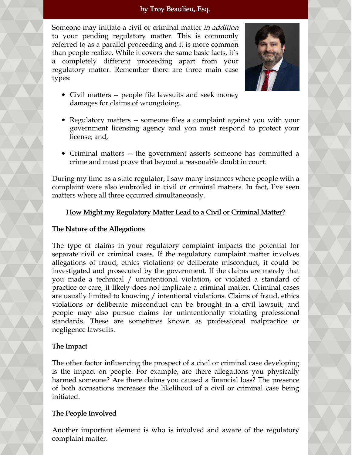#### by Troy Beaulieu, Esq.

Someone may initiate a civil or criminal matter *in addition* to your pending regulatory matter. This is commonly referred to as a parallel proceeding and it is more common than people realize. While it covers the same basic facts, it's a completely different proceeding apart from your regulatory matter. Remember there are three main case types:



- Civil matters -- people file lawsuits and seek money damages for claims of wrongdoing.
- Regulatory matters -- someone files a complaint against you with your government licensing agency and you must respond to protect your license; and,
- Criminal matters -- the government asserts someone has committed a crime and must prove that beyond a reasonable doubt in court.

During my time as a state regulator, I saw many instances where people with a complaint were also embroiled in civil or criminal matters. In fact, I've seen matters where all three occurred simultaneously.

#### How Might my Regulatory Matter Lead to a Civil or Criminal Matter?

#### The Nature of the Allegations

The type of claims in your regulatory complaint impacts the potential for separate civil or criminal cases. If the regulatory complaint matter involves allegations of fraud, ethics violations or deliberate misconduct, it could be investigated and prosecuted by the government. If the claims are merely that you made a technical / unintentional violation, or violated a standard of practice or care, it likely does not implicate a criminal matter. Criminal cases are usually limited to knowing / intentional violations. Claims of fraud, ethics violations or deliberate misconduct can be brought in a civil lawsuit, and people may also pursue claims for unintentionally violating professional standards. These are sometimes known as professional malpractice or negligence lawsuits.

#### The Impact

The other factor influencing the prospect of a civil or criminal case developing is the impact on people. For example, are there allegations you physically harmed someone? Are there claims you caused a financial loss? The presence of both accusations increases the likelihood of a civil or criminal case being initiated.

#### The People Involved

Another important element is who is involved and aware of the regulatory complaint matter.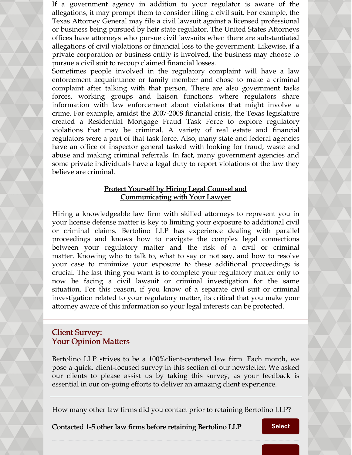If a government agency in addition to your regulator is aware of the allegations, it may prompt them to consider filing a civil suit. For example, the Texas Attorney General may file a civil lawsuit against a licensed professional or business being pursued by heir state regulator. The United States Attorneys offices have attorneys who pursue civil lawsuits when there are substantiated allegations of civil violations or financial loss to the government. Likewise, if a private corporation or business entity is involved, the business may choose to pursue a civil suit to recoup claimed financial losses.

Sometimes people involved in the regulatory complaint will have a law enforcement acquaintance or family member and chose to make a criminal complaint after talking with that person. There are also government tasks forces, working groups and liaison functions where regulators share information with law enforcement about violations that might involve a crime. For example, amidst the 2007-2008 financial crisis, the Texas legislature created a Residential Mortgage Fraud Task Force to explore regulatory violations that may be criminal. A variety of real estate and financial regulators were a part of that task force. Also, many state and federal agencies have an office of inspector general tasked with looking for fraud, waste and abuse and making criminal referrals. In fact, many government agencies and some private individuals have a legal duty to report violations of the law they believe are criminal.

#### Protect Yourself by Hiring Legal Counsel and Communicating with Your Lawyer

Hiring a knowledgeable law firm with skilled attorneys to represent you in your license defense matter is key to limiting your exposure to additional civil or criminal claims. Bertolino LLP has experience dealing with parallel proceedings and knows how to navigate the complex legal connections between your regulatory matter and the risk of a civil or criminal matter. Knowing who to talk to, what to say or not say, and how to resolve your case to minimize your exposure to these additional proceedings is crucial. The last thing you want is to complete your regulatory matter only to now be facing a civil lawsuit or criminal investigation for the same situation. For this reason, if you know of a separate civil suit or criminal investigation related to your regulatory matter, its critical that you make your attorney aware of this information so your legal interests can be protected.

### Client Survey: Your Opinion Matters

Bertolino LLP strives to be a 100%client-centered law firm. Each month, we pose a quick, client-focused survey in this section of our newsletter. We asked our clients to please assist us by taking this survey, as your feedback is essential in our on-going efforts to deliver an amazing client experience.

How many other law firms did you contact prior to retaining Bertolino LLP?

Contacted 1-5 other law firms before retaining Bertolino LLP **[Select](https://campaignlp.constantcontact.com/forms/response?id=8MTVuLZxdx2tqY6ViR4pGQ2t9mHnmSeJD9URWk5ocJ4ug0SYzrSj7-jVb4HI_8nHEX8MMCzARmAE1VhTffevICRJiFNKmJFxNqnC58W8EHo_BUdR3yHhrvyODKjmVmcxeuN5SKK0qrg9qtUXesBhidVLDXT815r-VIfT-tCSregycL3RX8vI0SlcFagRmdCguzWk_BooTyXFYMefTsr-aw&encVer=1&c=&ch=)**